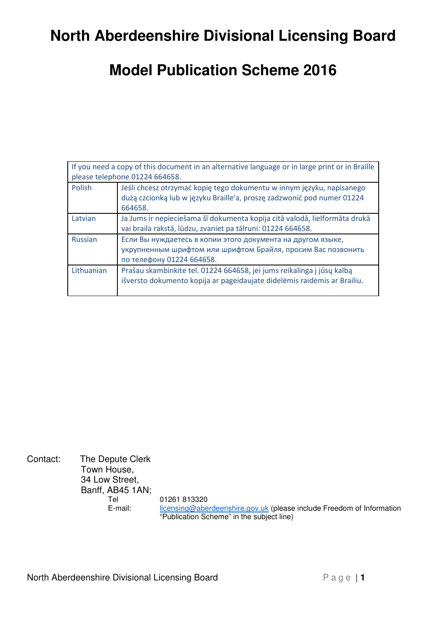# **North Aberdeenshire Divisional Licensing Board**

## **Model Publication Scheme 2016**

| If you need a copy of this document in an alternative language or in large print or in Braille |                                                                                                                                                            |  |  |
|------------------------------------------------------------------------------------------------|------------------------------------------------------------------------------------------------------------------------------------------------------------|--|--|
| please telephone 01224 664658.                                                                 |                                                                                                                                                            |  |  |
| Polish                                                                                         | Jeśli chcesz otrzymać kopię tego dokumentu w innym języku, napisanego<br>dużą czcionką lub w języku Braille'a, proszę zadzwonić pod numer 01224<br>664658. |  |  |
| Latvian                                                                                        | Ja Jums ir nepieciešama šī dokumenta kopija citā valodā, lielformāta drukā<br>vai braila rakstā, lūdzu, zvaniet pa tālruni: 01224 664658.                  |  |  |
| <b>Russian</b>                                                                                 | Если Вы нуждаетесь в копии этого документа на другом языке,<br>укрупненным шрифтом или шрифтом Брайля, просим Вас позвонить<br>по телефону 01224 664658.   |  |  |
| Lithuanian                                                                                     | Prašau skambinkite tel. 01224 664658, jei jums reikalinga į jūsų kalbą<br>išversto dokumento kopija ar pageidaujate didelėmis raidėmis ar Brailiu.         |  |  |

Contact: The Depute Clerk Town House, 34 Low Street, Banff, AB45 1AN;<br>Tel 01261 813320 E-mail: licensing@aberdeenshire.gov.uk (please include Freedom of Information "Publication Scheme" in the subject line)

North Aberdeenshire Divisional Licensing Board Page | 1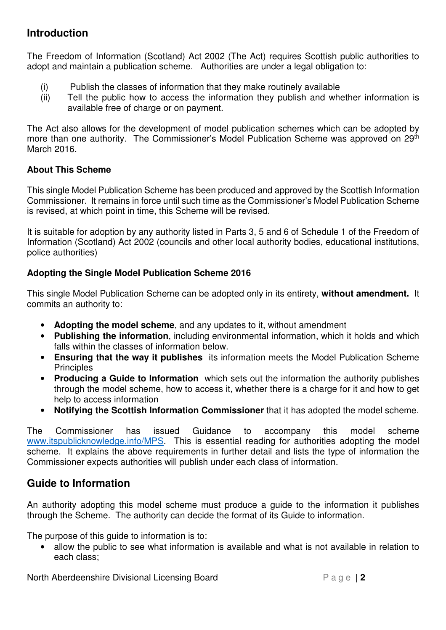#### **Introduction**

The Freedom of Information (Scotland) Act 2002 (The Act) requires Scottish public authorities to adopt and maintain a publication scheme. Authorities are under a legal obligation to:

- (i) Publish the classes of information that they make routinely available
- (ii) Tell the public how to access the information they publish and whether information is available free of charge or on payment.

The Act also allows for the development of model publication schemes which can be adopted by more than one authority. The Commissioner's Model Publication Scheme was approved on 29<sup>th</sup> March 2016.

#### **About This Scheme**

This single Model Publication Scheme has been produced and approved by the Scottish Information Commissioner. It remains in force until such time as the Commissioner's Model Publication Scheme is revised, at which point in time, this Scheme will be revised.

It is suitable for adoption by any authority listed in Parts 3, 5 and 6 of Schedule 1 of the Freedom of Information (Scotland) Act 2002 (councils and other local authority bodies, educational institutions, police authorities)

#### **Adopting the Single Model Publication Scheme 2016**

This single Model Publication Scheme can be adopted only in its entirety, **without amendment.** It commits an authority to:

- **Adopting the model scheme**, and any updates to it, without amendment
- **Publishing the information**, including environmental information, which it holds and which falls within the classes of information below.
- **Ensuring that the way it publishes** its information meets the Model Publication Scheme **Principles**
- **Producing a Guide to Information** which sets out the information the authority publishes through the model scheme, how to access it, whether there is a charge for it and how to get help to access information
- **Notifying the Scottish Information Commissioner** that it has adopted the model scheme.

The Commissioner has issued Guidance to accompany this model scheme www.itspublicknowledge.info/MPS. This is essential reading for authorities adopting the model scheme. It explains the above requirements in further detail and lists the type of information the Commissioner expects authorities will publish under each class of information.

#### **Guide to Information**

An authority adopting this model scheme must produce a guide to the information it publishes through the Scheme. The authority can decide the format of its Guide to information.

The purpose of this guide to information is to:

• allow the public to see what information is available and what is not available in relation to each class;

North Aberdeenshire Divisional Licensing Board P a g e | 2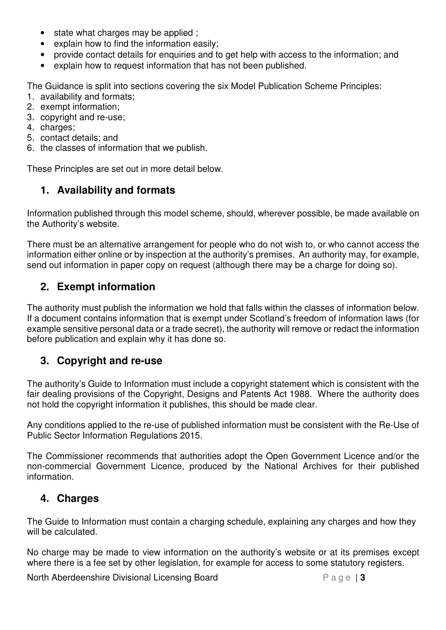- state what charges may be applied ;
- explain how to find the information easily;
- provide contact details for enquiries and to get help with access to the information; and
- explain how to request information that has not been published.

The Guidance is split into sections covering the six Model Publication Scheme Principles:

- 1. availability and formats;
- 2. exempt information;
- 3. copyright and re-use;
- 4. charges;
- 5. contact details; and
- 6. the classes of information that we publish.

These Principles are set out in more detail below.

### **1. Availability and formats**

Information published through this model scheme, should, wherever possible, be made available on the Authority's website.

There must be an alternative arrangement for people who do not wish to, or who cannot access the information either online or by inspection at the authority's premises. An authority may, for example, send out information in paper copy on request (although there may be a charge for doing so).

#### **2. Exempt information**

The authority must publish the information we hold that falls within the classes of information below. If a document contains information that is exempt under Scotland's freedom of information laws (for example sensitive personal data or a trade secret), the authority will remove or redact the information before publication and explain why it has done so.

#### **3. Copyright and re-use**

The authority's Guide to Information must include a copyright statement which is consistent with the fair dealing provisions of the Copyright, Designs and Patents Act 1988. Where the authority does not hold the copyright information it publishes, this should be made clear.

Any conditions applied to the re-use of published information must be consistent with the Re-Use of Public Sector Information Regulations 2015.

The Commissioner recommends that authorities adopt the Open Government Licence and/or the non-commercial Government Licence, produced by the National Archives for their published information.

#### **4. Charges**

The Guide to Information must contain a charging schedule, explaining any charges and how they will be calculated.

No charge may be made to view information on the authority's website or at its premises except where there is a fee set by other legislation, for example for access to some statutory registers.

North Aberdeenshire Divisional Licensing Board P a g e | 3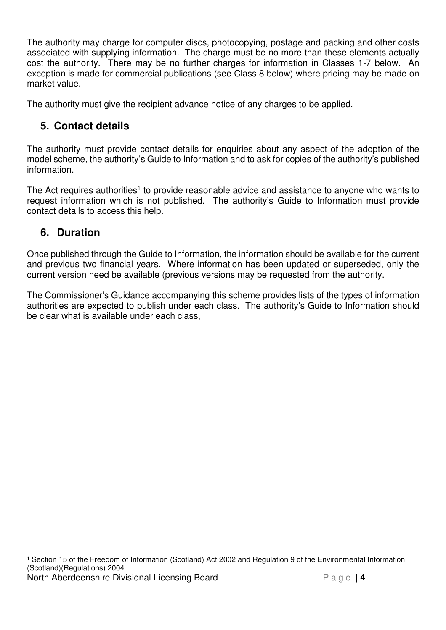The authority may charge for computer discs, photocopying, postage and packing and other costs associated with supplying information. The charge must be no more than these elements actually cost the authority. There may be no further charges for information in Classes 1-7 below. An exception is made for commercial publications (see Class 8 below) where pricing may be made on market value.

The authority must give the recipient advance notice of any charges to be applied.

### **5. Contact details**

The authority must provide contact details for enquiries about any aspect of the adoption of the model scheme, the authority's Guide to Information and to ask for copies of the authority's published information.

The Act requires authorities<sup>1</sup> to provide reasonable advice and assistance to anyone who wants to request information which is not published. The authority's Guide to Information must provide contact details to access this help.

### **6. Duration**

Once published through the Guide to Information, the information should be available for the current and previous two financial years. Where information has been updated or superseded, only the current version need be available (previous versions may be requested from the authority.

The Commissioner's Guidance accompanying this scheme provides lists of the types of information authorities are expected to publish under each class. The authority's Guide to Information should be clear what is available under each class,

North Aberdeenshire Divisional Licensing Board P a g e | 4  $\overline{a}$ 1 Section 15 of the Freedom of Information (Scotland) Act 2002 and Regulation 9 of the Environmental Information (Scotland)(Regulations) 2004